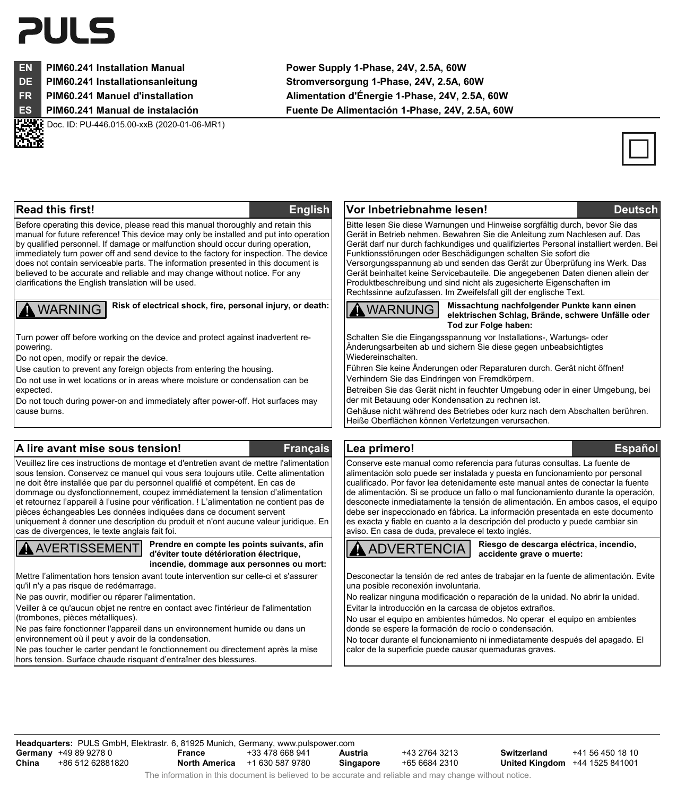# 21 II S

Doc. ID: PU-446.015.00-xxB (2020-01-06-MR1)

**EN PIM60.241 Installation Manual Power Supply 1-Phase, 24V, 2.5A, 60W DE PIM60.241 Installationsanleitung Stromversorgung 1-Phase, 24V, 2.5A, 60W FR PIM60.241 Manuel d'installation Alimentation d'Énergie 1-Phase, 24V, 2.5A, 60W ES PIM60.241 Manual de instalación Fuente De Alimentación 1-Phase, 24V, 2.5A, 60W** 



#### **Read this first! English Vor Inbetriebnahme lesen! Deutsch** Before operating this device, please read this manual thoroughly and retain this manual for future reference! This device may only be installed and put into operation by qualified personnel. If damage or malfunction should occur during operation, immediately turn power off and send device to the factory for inspection. The device does not contain serviceable parts. The information presented in this document is believed to be accurate and reliable and may change without notice. For any clarifications the English translation will be used. Bitte lesen Sie diese Warnungen und Hinweise sorgfältig durch, bevor Sie das Gerät in Betrieb nehmen. Bewahren Sie die Anleitung zum Nachlesen auf. Das Gerät darf nur durch fachkundiges und qualifiziertes Personal installiert werden. Bei Funktionsstörungen oder Beschädigungen schalten Sie sofort die Versorgungsspannung ab und senden das Gerät zur Überprüfung ins Werk. Das Gerät beinhaltet keine Servicebauteile. Die angegebenen Daten dienen allein der Produktbeschreibung und sind nicht als zugesicherte Eigenschaften im Rechtssinne aufzufassen. Im Zweifelsfall gilt der englische Text. **MARNING** Risk of electrical shock, fire, personal injury, or death: WARNUNG Missachtung nachfolgender Punkte kann einen **elektrischen Schlag, Brände, schwere Unfälle oder Tod zur Folge haben:** Turn power off before working on the device and protect against inadvertent repowering. Do not open, modify or repair the device. Use caution to prevent any foreign objects from entering the housing. Do not use in wet locations or in areas where moisture or condensation can be expected. Do not touch during power-on and immediately after power-off. Hot surfaces may cause burns. Schalten Sie die Eingangsspannung vor Installations-, Wartungs- oder Änderungsarbeiten ab und sichern Sie diese gegen unbeabsichtigtes Wiedereinschalten. Führen Sie keine Änderungen oder Reparaturen durch. Gerät nicht öffnen! Verhindern Sie das Eindringen von Fremdkörpern. Betreiben Sie das Gerät nicht in feuchter Umgebung oder in einer Umgebung, bei der mit Betauung oder Kondensation zu rechnen ist. Gehäuse nicht während des Betriebes oder kurz nach dem Abschalten berühren. Heiße Oberflächen können Verletzungen verursachen. **A lire avant mise sous tension! Français Lea primero! Español** Veuillez lire ces instructions de montage et d'entretien avant de mettre l'alimentation sous tension. Conservez ce manuel qui vous sera toujours utile. Cette alimentation ne doit être installée que par du personnel qualifié et compétent. En cas de dommage ou dysfonctionnement, coupez immédiatement la tension d'alimentation et retournez l'appareil à l'usine pour vérification. ! L'alimentation ne contient pas de pièces échangeables Les données indiquées dans ce document servent uniquement à donner une description du produit et n'ont aucune valeur juridique. En cas de divergences, le texte anglais fait foi. Conserve este manual como referencia para futuras consultas. La fuente de alimentación solo puede ser instalada y puesta en funcionamiento por personal cualificado. Por favor lea detenidamente este manual antes de conectar la fuente de alimentación. Si se produce un fallo o mal funcionamiento durante la operación, desconecte inmediatamente la tensión de alimentación. En ambos casos, el equipo debe ser inspeccionado en fábrica. La información presentada en este documento es exacta y fiable en cuanto a la descripción del producto y puede cambiar sin aviso. En casa de duda, prevalece el texto inglés. AVERTISSEMENT **Prendre en compte les points suivants, afin d'éviter toute détérioration électrique, incendie, dommage aux personnes ou mort:** ADVERTENCIA **Riesgo de descarga eléctrica, incendio, accidente grave o muerte:** Mettre l'alimentation hors tension avant toute intervention sur celle-ci et s'assurer qu'il n'y a pas risque de redémarrage. Ne pas ouvrir, modifier ou réparer l'alimentation. Veiller à ce qu'aucun objet ne rentre en contact avec l'intérieur de l'alimentation (trombones, pièces métalliques). Desconectar la tensión de red antes de trabajar en la fuente de alimentación. Evite una posible reconexión involuntaria. No realizar ninguna modificación o reparación de la unidad. No abrir la unidad. Evitar la introducción en la carcasa de objetos extraños. No usar el equipo en ambientes húmedos. No operar el equipo en ambientes

Ne pas faire fonctionner l'appareil dans un environnement humide ou dans un environnement où il peut y avoir de la condensation.

Ne pas toucher le carter pendant le fonctionnement ou directement après la mise hors tension. Surface chaude risquant d'entraîner des blessures.

donde se espere la formación de rocío o condensación. No tocar durante el funcionamiento ni inmediatamente después del apagado. El

calor de la superficie puede causar quemaduras graves.

**Headquarters:** PULS GmbH, Elektrastr. 6, 81925 Munich, Germany, www.pulspower.com **Germany** +49 89 9278 0<br>**China** +86 512 62881 **China** +86 512 62881820 **France** +33 478 668 941 **North America** +1 630 587 9780 **Austria** +43 2764 3213<br>**Singapore** +65 6684 2310 **Singapore** +65 6684 2310

**Switzerland** +41 56 450 18 10 **United Kingdom** +44 1525 841001

The information in this document is believed to be accurate and reliable and may change without notice.